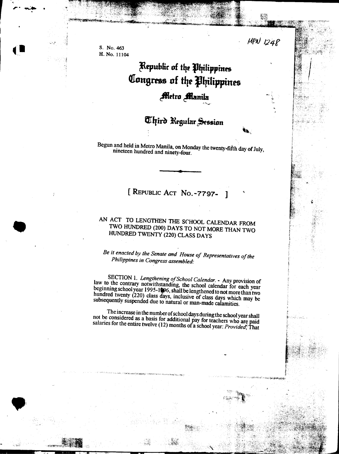$M_{\rm eff}$  /24f  $\sim$ 

..

,~ "

",,'

.<br> $\begin{array}{c|c} . & . & . & . \\ & . & . & . \\ & . & . & . & . \\ \hline & . & . & . & . \\ \hline & . & . & . & . \\ \hline & . & . & . & . \\ \hline & . & . & . & . \\ \hline & . & . & . & . \\ \hline & . & . & . & . \\ \hline & . & . & . & . \\ \hline & . & . & . & . \\ \hline & . & . & . & . \\ \hline & . & . & . & . \\ \hline & . & . & . & . \\ \hline & . & . & . & . \\ \hline & . & . & . & . \\ \hline & . & . & . & . \\ \hline & . & . & . & . \\ \hline & .$ H. No. 11104

..,.. ~ .

.I

r

-"1'c1j~"'ii~i

.)

.<br>Historia ,

" ;, --\_c\_-

## Kepublic of the Philippines Congress of the Philippines **Aletro Manila**

## Uhird Regular Session

Begun and held in Metro Manila, on Monday the twenty-fifth day of July, nineteen hundred and ninety-four.

.

## [ REPUBLIC ACT No. - 7797-

## AN ACT TO LENGTHEN THE SCHOOL CALENDAR FROM . TWO HUNDRED (200) DAYS TO NOT MORE THAN TWO HUNDRED TWENTY (220) CLASS DAYS

Be it enacted by the Senate and House of Representatives of the Philippines in Congress assembled:

SECTION 1. Lengthening of School Calendar. - Any provision of law to the contrary notwithstanding, the school calendar for each year beginning school year 1995-1996, shall be lengthened to not more than two hundred twenty (220) class days, inclusive of class days which may be subsequently suspended due to natural or man-made calamities.

The increase in the number of school days during the school year shall not be considered as a basis for additional pay for teachers who are paid salaries for the entire twelve (12) months of a school year: *Provided*; That

.